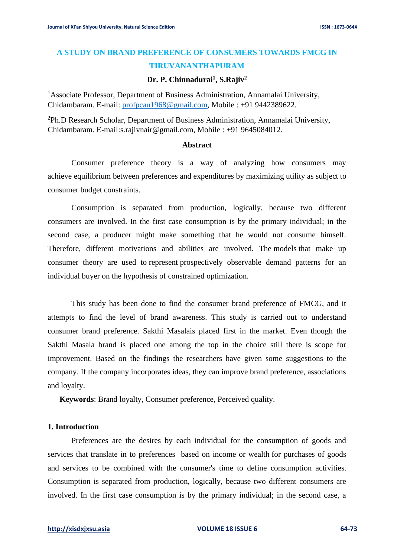# **A STUDY ON BRAND PREFERENCE OF CONSUMERS TOWARDS FMCG IN TIRUVANANTHAPURAM**

## **Dr. P. Chinnadurai<sup>1</sup> , S.Rajiv<sup>2</sup>**

<sup>1</sup>Associate Professor, Department of Business Administration, Annamalai University, Chidambaram. E-mail: [profpcau1968@gmail.com,](mailto:profpcau1968@gmail.com) Mobile : +91 9442389622.

<sup>2</sup>Ph.D Research Scholar, Department of Business Administration, Annamalai University, Chidambaram. E-mail:s.rajivnair@gmail.com, Mobile : +91 9645084012.

#### **Abstract**

Consumer preference theory is a way of analyzing how consumers may achieve equilibrium between preferences and expenditures by maximizing [utility](http://en.wikipedia.org/wiki/Utility) as subject to consumer budget constraints.

Consumption is separated from production, logically, because two different consumers are involved. In the first case consumption is by the primary individual; in the second case, a producer might make something that he would not consume himself. Therefore, different motivations and abilities are involved. The [models](http://en.wikipedia.org/wiki/Model_(economics)) that make up consumer theory are used to [represent](http://en.wikipedia.org/wiki/Mathematical_problem) prospectively observable demand patterns for an individual buyer on the [hypothesis](http://en.wikipedia.org/wiki/Hypothesis) of constrained optimization.

This study has been done to find the consumer brand preference of FMCG, and it attempts to find the level of brand awareness. This study is carried out to understand consumer brand preference. Sakthi Masalais placed first in the market. Even though the Sakthi Masala brand is placed one among the top in the choice still there is scope for improvement. Based on the findings the researchers have given some suggestions to the company. If the company incorporates ideas, they can improve brand preference, associations and loyalty.

**Keywords**: Brand loyalty, Consumer preference, Perceived quality.

#### **1. Introduction**

Preferences are the desires by each individual for the consumption of goods and services that translate in to [preferences](http://en.wikipedia.org/wiki/Preference_(economics)) based on income or [wealth](http://en.wikipedia.org/wiki/Economic_wealth) for purchases of goods and services to be combined with the consumer's time to define consumption activities. Consumption is separated from production, logically, because two different consumers are involved. In the first case consumption is by the primary individual; in the second case, a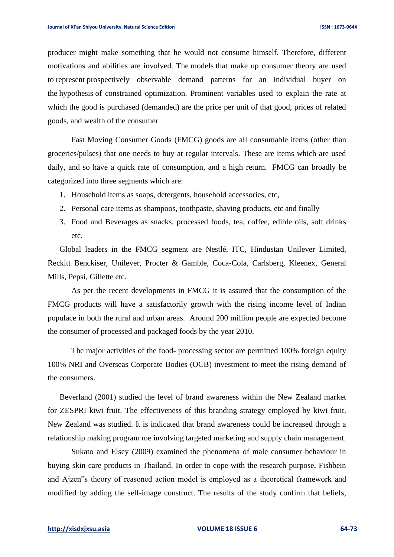producer might make something that he would not consume himself. Therefore, different motivations and abilities are involved. The [models](http://en.wikipedia.org/wiki/Model_(economics)) that make up consumer theory are used to [represent](http://en.wikipedia.org/wiki/Mathematical_problem) prospectively observable demand patterns for an individual buyer on the [hypothesis](http://en.wikipedia.org/wiki/Hypothesis) of constrained optimization. Prominent variables used to explain the rate at which the good is purchased (demanded) are the price per unit of that good, prices of related goods, and wealth of the consumer

 Fast Moving Consumer Goods (FMCG) goods are all consumable items (other than groceries/pulses) that one needs to buy at regular intervals. These are items which are used daily, and so have a quick rate of consumption, and a high return. FMCG can broadly be categorized into three segments which are:

- 1. Household items as soaps, detergents, household accessories, etc,
- 2. Personal care items as shampoos, toothpaste, shaving products, etc and finally
- 3. Food and Beverages as snacks, processed foods, tea, coffee, edible oils, soft drinks etc.

Global leaders in the FMCG segment are Nestlé, ITC, Hindustan Unilever Limited, Reckitt Benckiser, Unilever, Procter & Gamble, Coca-Cola, Carlsberg, Kleenex, General Mills, Pepsi, Gillette etc.

As per the recent developments in FMCG it is assured that the consumption of the FMCG products will have a satisfactorily growth with the rising income level of Indian populace in both the rural and urban areas. Around 200 million people are expected become the consumer of processed and packaged foods by the year 2010.

The major activities of the food- processing sector are permitted 100% foreign equity 100% NRI and Overseas Corporate Bodies (OCB) investment to meet the rising demand of the consumers.

Beverland (2001) studied the level of brand awareness within the New Zealand market for ZESPRI kiwi fruit. The effectiveness of this branding strategy employed by kiwi fruit, New Zealand was studied. It is indicated that brand awareness could be increased through a relationship making program me involving targeted marketing and supply chain management.

Sukato and Elsey (2009) examined the phenomena of male consumer behaviour in buying skin care products in Thailand. In order to cope with the research purpose, Fishbein and Ajzen"s theory of reasoned action model is employed as a theoretical framework and modified by adding the self-image construct. The results of the study confirm that beliefs,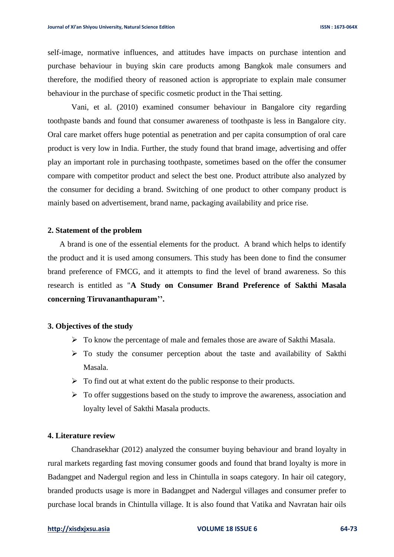self-image, normative influences, and attitudes have impacts on purchase intention and purchase behaviour in buying skin care products among Bangkok male consumers and therefore, the modified theory of reasoned action is appropriate to explain male consumer behaviour in the purchase of specific cosmetic product in the Thai setting.

Vani, et al. (2010) examined consumer behaviour in Bangalore city regarding toothpaste bands and found that consumer awareness of toothpaste is less in Bangalore city. Oral care market offers huge potential as penetration and per capita consumption of oral care product is very low in India. Further, the study found that brand image, advertising and offer play an important role in purchasing toothpaste, sometimes based on the offer the consumer compare with competitor product and select the best one. Product attribute also analyzed by the consumer for deciding a brand. Switching of one product to other company product is mainly based on advertisement, brand name, packaging availability and price rise.

#### **2. Statement of the problem**

A brand is one of the essential elements for the product. A brand which helps to identify the product and it is used among consumers. This study has been done to find the consumer brand preference of FMCG, and it attempts to find the level of brand awareness. So this research is entitled as "**A Study on Consumer Brand Preference of Sakthi Masala concerning Tiruvananthapuram''.**

#### **3. Objectives of the study**

- ➢ To know the percentage of male and females those are aware of Sakthi Masala.
- $\triangleright$  To study the consumer perception about the taste and availability of Sakthi Masala.
- $\triangleright$  To find out at what extent do the public response to their products.
- ➢ To offer suggestions based on the study to improve the awareness, association and loyalty level of Sakthi Masala products.

### **4. Literature review**

Chandrasekhar (2012) analyzed the consumer buying behaviour and brand loyalty in rural markets regarding fast moving consumer goods and found that brand loyalty is more in Badangpet and Nadergul region and less in Chintulla in soaps category. In hair oil category, branded products usage is more in Badangpet and Nadergul villages and consumer prefer to purchase local brands in Chintulla village. It is also found that Vatika and Navratan hair oils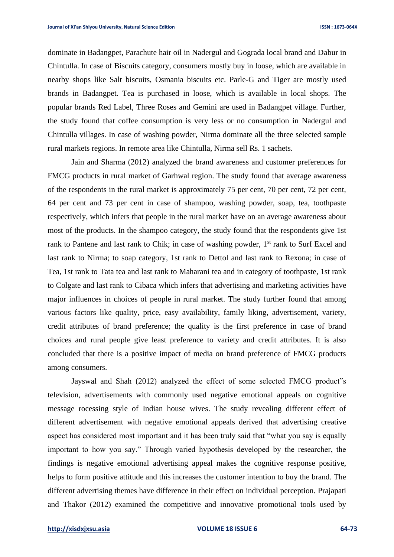dominate in Badangpet, Parachute hair oil in Nadergul and Gograda local brand and Dabur in Chintulla. In case of Biscuits category, consumers mostly buy in loose, which are available in nearby shops like Salt biscuits, Osmania biscuits etc. Parle-G and Tiger are mostly used brands in Badangpet. Tea is purchased in loose, which is available in local shops. The popular brands Red Label, Three Roses and Gemini are used in Badangpet village. Further, the study found that coffee consumption is very less or no consumption in Nadergul and Chintulla villages. In case of washing powder, Nirma dominate all the three selected sample rural markets regions. In remote area like Chintulla, Nirma sell Rs. 1 sachets.

Jain and Sharma (2012) analyzed the brand awareness and customer preferences for FMCG products in rural market of Garhwal region. The study found that average awareness of the respondents in the rural market is approximately 75 per cent, 70 per cent, 72 per cent, 64 per cent and 73 per cent in case of shampoo, washing powder, soap, tea, toothpaste respectively, which infers that people in the rural market have on an average awareness about most of the products. In the shampoo category, the study found that the respondents give 1st rank to Pantene and last rank to Chik; in case of washing powder, 1<sup>st</sup> rank to Surf Excel and last rank to Nirma; to soap category, 1st rank to Dettol and last rank to Rexona; in case of Tea, 1st rank to Tata tea and last rank to Maharani tea and in category of toothpaste, 1st rank to Colgate and last rank to Cibaca which infers that advertising and marketing activities have major influences in choices of people in rural market. The study further found that among various factors like quality, price, easy availability, family liking, advertisement, variety, credit attributes of brand preference; the quality is the first preference in case of brand choices and rural people give least preference to variety and credit attributes. It is also concluded that there is a positive impact of media on brand preference of FMCG products among consumers.

Jayswal and Shah (2012) analyzed the effect of some selected FMCG product"s television, advertisements with commonly used negative emotional appeals on cognitive message rocessing style of Indian house wives. The study revealing different effect of different advertisement with negative emotional appeals derived that advertising creative aspect has considered most important and it has been truly said that "what you say is equally important to how you say." Through varied hypothesis developed by the researcher, the findings is negative emotional advertising appeal makes the cognitive response positive, helps to form positive attitude and this increases the customer intention to buy the brand. The different advertising themes have difference in their effect on individual perception. Prajapati and Thakor (2012) examined the competitive and innovative promotional tools used by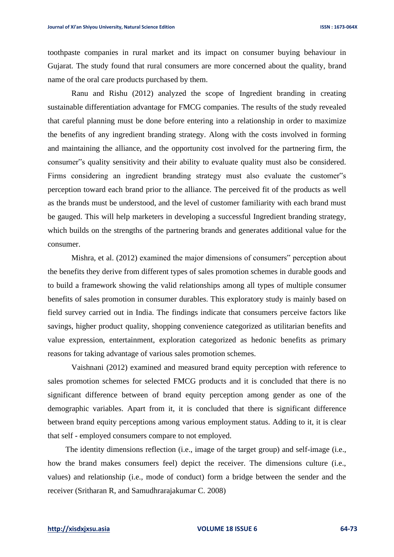toothpaste companies in rural market and its impact on consumer buying behaviour in Gujarat. The study found that rural consumers are more concerned about the quality, brand name of the oral care products purchased by them.

Ranu and Rishu (2012) analyzed the scope of Ingredient branding in creating sustainable differentiation advantage for FMCG companies. The results of the study revealed that careful planning must be done before entering into a relationship in order to maximize the benefits of any ingredient branding strategy. Along with the costs involved in forming and maintaining the alliance, and the opportunity cost involved for the partnering firm, the consumer"s quality sensitivity and their ability to evaluate quality must also be considered. Firms considering an ingredient branding strategy must also evaluate the customer"s perception toward each brand prior to the alliance. The perceived fit of the products as well as the brands must be understood, and the level of customer familiarity with each brand must be gauged. This will help marketers in developing a successful Ingredient branding strategy, which builds on the strengths of the partnering brands and generates additional value for the consumer.

Mishra, et al. (2012) examined the major dimensions of consumers" perception about the benefits they derive from different types of sales promotion schemes in durable goods and to build a framework showing the valid relationships among all types of multiple consumer benefits of sales promotion in consumer durables. This exploratory study is mainly based on field survey carried out in India. The findings indicate that consumers perceive factors like savings, higher product quality, shopping convenience categorized as utilitarian benefits and value expression, entertainment, exploration categorized as hedonic benefits as primary reasons for taking advantage of various sales promotion schemes.

Vaishnani (2012) examined and measured brand equity perception with reference to sales promotion schemes for selected FMCG products and it is concluded that there is no significant difference between of brand equity perception among gender as one of the demographic variables. Apart from it, it is concluded that there is significant difference between brand equity perceptions among various employment status. Adding to it, it is clear that self - employed consumers compare to not employed.

The identity dimensions reflection (i.e., image of the target group) and self-image (i.e., how the brand makes consumers feel) depict the receiver. The dimensions culture (i.e., values) and relationship (i.e., mode of conduct) form a bridge between the sender and the receiver (Sritharan R, and Samudhrarajakumar C. 2008)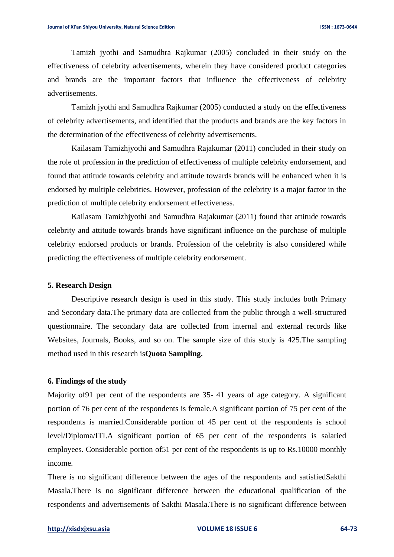Tamizh jyothi and Samudhra Rajkumar (2005) concluded in their study on the effectiveness of celebrity advertisements, wherein they have considered product categories and brands are the important factors that influence the effectiveness of celebrity advertisements.

Tamizh jyothi and Samudhra Rajkumar (2005) conducted a study on the effectiveness of celebrity advertisements, and identified that the products and brands are the key factors in the determination of the effectiveness of celebrity advertisements.

Kailasam Tamizhjyothi and Samudhra Rajakumar (2011) concluded in their study on the role of profession in the prediction of effectiveness of multiple celebrity endorsement, and found that attitude towards celebrity and attitude towards brands will be enhanced when it is endorsed by multiple celebrities. However, profession of the celebrity is a major factor in the prediction of multiple celebrity endorsement effectiveness.

Kailasam Tamizhjyothi and Samudhra Rajakumar (2011) found that attitude towards celebrity and attitude towards brands have significant influence on the purchase of multiple celebrity endorsed products or brands. Profession of the celebrity is also considered while predicting the effectiveness of multiple celebrity endorsement.

#### **5. Research Design**

Descriptive research design is used in this study. This study includes both Primary and Secondary data.The primary data are collected from the public through a well-structured questionnaire. The secondary data are collected from internal and external records like Websites, Journals, Books, and so on. The sample size of this study is 425.The sampling method used in this research is**Quota Sampling.**

#### **6. Findings of the study**

Majority of91 per cent of the respondents are 35- 41 years of age category. A significant portion of 76 per cent of the respondents is female.A significant portion of 75 per cent of the respondents is married.Considerable portion of 45 per cent of the respondents is school level/Diploma/ITI.A significant portion of 65 per cent of the respondents is salaried employees. Considerable portion of51 per cent of the respondents is up to Rs.10000 monthly income.

There is no significant difference between the ages of the respondents and satisfiedSakthi Masala.There is no significant difference between the educational qualification of the respondents and advertisements of Sakthi Masala.There is no significant difference between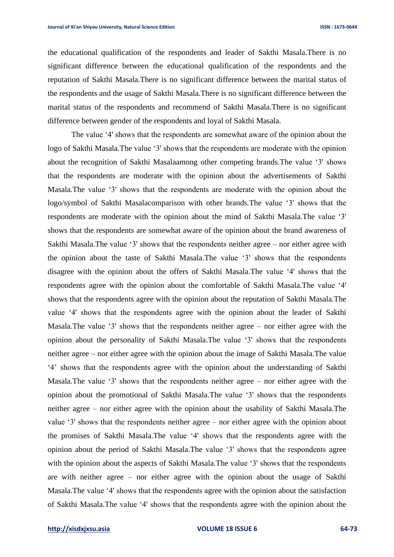the educational qualification of the respondents and leader of Sakthi Masala.There is no significant difference between the educational qualification of the respondents and the reputation of Sakthi Masala.There is no significant difference between the marital status of the respondents and the usage of Sakthi Masala.There is no significant difference between the marital status of the respondents and recommend of Sakthi Masala.There is no significant difference between gender of the respondents and loyal of Sakthi Masala.

The value '4' shows that the respondents are somewhat aware of the opinion about the logo of Sakthi Masala*.*The value '3' shows that the respondents are moderate with the opinion about the recognition of Sakthi Masalaamong other competing brands.The value '3' shows that the respondents are moderate with the opinion about the advertisements of Sakthi Masala*.*The value '3' shows that the respondents are moderate with the opinion about the logo/symbol of Sakthi Masalacomparison with other brands*.*The value '3' shows that the respondents are moderate with the opinion about the mind of Sakthi Masala*.*The value '3' shows that the respondents are somewhat aware of the opinion about the brand awareness of Sakthi Masala.The value '3' shows that the respondents neither agree – nor either agree with the opinion about the taste of Sakthi Masala.The value '3' shows that the respondents disagree with the opinion about the offers of Sakthi Masala.The value '4' shows that the respondents agree with the opinion about the comfortable of Sakthi Masala.The value '4' shows that the respondents agree with the opinion about the reputation of Sakthi Masala*.*The value '4' shows that the respondents agree with the opinion about the leader of Sakthi Masala.The value '3' shows that the respondents neither agree – nor either agree with the opinion about the personality of Sakthi Masala.The value '3' shows that the respondents neither agree – nor either agree with the opinion about the image of Sakthi Masala.The value '4' shows that the respondents agree with the opinion about the understanding of Sakthi Masala.The value '3' shows that the respondents neither agree – nor either agree with the opinion about the promotional of Sakthi Masala.The value '3' shows that the respondents neither agree – nor either agree with the opinion about the usability of Sakthi Masala.The value '3' shows that the respondents neither agree – nor either agree with the opinion about the promises of Sakthi Masala.The value '4' shows that the respondents agree with the opinion about the period of Sakthi Masala.The value '3' shows that the respondents agree with the opinion about the aspects of Sakthi Masala*.*The value '3' shows that the respondents are with neither agree – nor either agree with the opinion about the usage of Sakthi Masala.The value '4' shows that the respondents agree with the opinion about the satisfaction of Sakthi Masala.The value '4' shows that the respondents agree with the opinion about the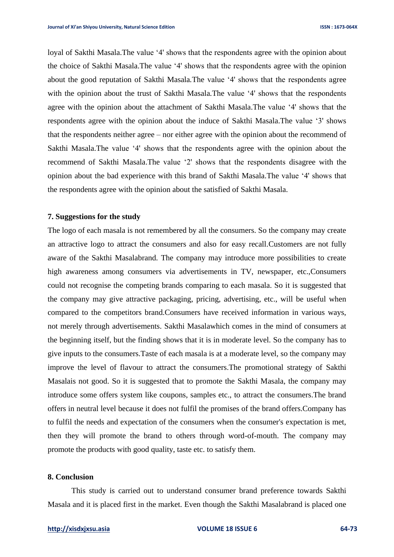loyal of Sakthi Masala.The value '4' shows that the respondents agree with the opinion about the choice of Sakthi Masala.The value '4' shows that the respondents agree with the opinion about the good reputation of Sakthi Masala*.*The value '4' shows that the respondents agree with the opinion about the trust of Sakthi Masala*.*The value '4' shows that the respondents agree with the opinion about the attachment of Sakthi Masala.The value '4' shows that the respondents agree with the opinion about the induce of Sakthi Masala.The value '3' shows that the respondents neither agree – nor either agree with the opinion about the recommend of Sakthi Masala.The value '4' shows that the respondents agree with the opinion about the recommend of Sakthi Masala.The value '2' shows that the respondents disagree with the opinion about the bad experience with this brand of Sakthi Masala.The value '4' shows that the respondents agree with the opinion about the satisfied of Sakthi Masala.

#### **7. Suggestions for the study**

The logo of each masala is not remembered by all the consumers. So the company may create an attractive logo to attract the consumers and also for easy recall.Customers are not fully aware of the Sakthi Masalabrand. The company may introduce more possibilities to create high awareness among consumers via advertisements in TV, newspaper, etc.,Consumers could not recognise the competing brands comparing to each masala. So it is suggested that the company may give attractive packaging, pricing, advertising, etc., will be useful when compared to the competitors brand.Consumers have received information in various ways, not merely through advertisements. Sakthi Masalawhich comes in the mind of consumers at the beginning itself, but the finding shows that it is in moderate level. So the company has to give inputs to the consumers.Taste of each masala is at a moderate level, so the company may improve the level of flavour to attract the consumers.The promotional strategy of Sakthi Masalais not good. So it is suggested that to promote the Sakthi Masala, the company may introduce some offers system like coupons, samples etc., to attract the consumers.The brand offers in neutral level because it does not fulfil the promises of the brand offers.Company has to fulfil the needs and expectation of the consumers when the consumer's expectation is met, then they will promote the brand to others through word-of-mouth. The company may promote the products with good quality, taste etc. to satisfy them.

#### **8. Conclusion**

This study is carried out to understand consumer brand preference towards Sakthi Masala and it is placed first in the market. Even though the Sakthi Masalabrand is placed one